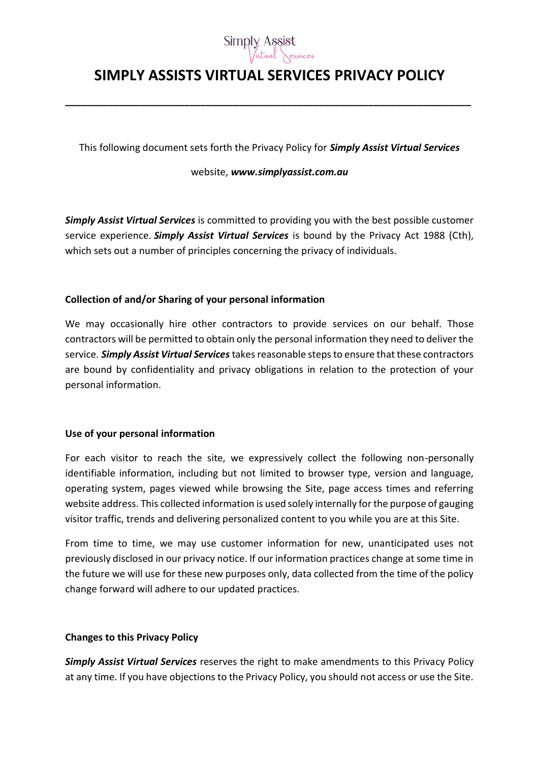

# **SIMPLY ASSISTS VIRTUAL SERVICES PRIVACY POLICY**

**\_\_\_\_\_\_\_\_\_\_\_\_\_\_\_\_\_\_\_\_\_\_\_\_\_\_\_\_\_\_\_\_\_\_\_\_\_\_\_\_\_\_\_\_\_\_\_\_\_\_\_\_\_\_\_\_\_\_\_\_\_\_\_\_\_\_\_\_\_\_\_\_\_\_\_**

This following document sets forth the Privacy Policy for *Simply Assist Virtual Services*

website, *www.simplyassist.com.au*

*Simply Assist Virtual Services* is committed to providing you with the best possible customer service experience. *Simply Assist Virtual Services* is bound by the Privacy Act 1988 (Cth), which sets out a number of principles concerning the privacy of individuals.

# **Collection of and/or Sharing of your personal information**

We may occasionally hire other contractors to provide services on our behalf. Those contractors will be permitted to obtain only the personal information they need to deliver the service. *Simply Assist Virtual Services* takes reasonable steps to ensure that these contractors are bound by confidentiality and privacy obligations in relation to the protection of your personal information.

#### **Use of your personal information**

For each visitor to reach the site, we expressively collect the following non-personally identifiable information, including but not limited to browser type, version and language, operating system, pages viewed while browsing the Site, page access times and referring website address. This collected information is used solely internally for the purpose of gauging visitor traffic, trends and delivering personalized content to you while you are at this Site.

From time to time, we may use customer information for new, unanticipated uses not previously disclosed in our privacy notice. If our information practices change at some time in the future we will use for these new purposes only, data collected from the time of the policy change forward will adhere to our updated practices.

# **Changes to this Privacy Policy**

*Simply Assist Virtual Services* reserves the right to make amendments to this Privacy Policy at any time. If you have objections to the Privacy Policy, you should not access or use the Site.